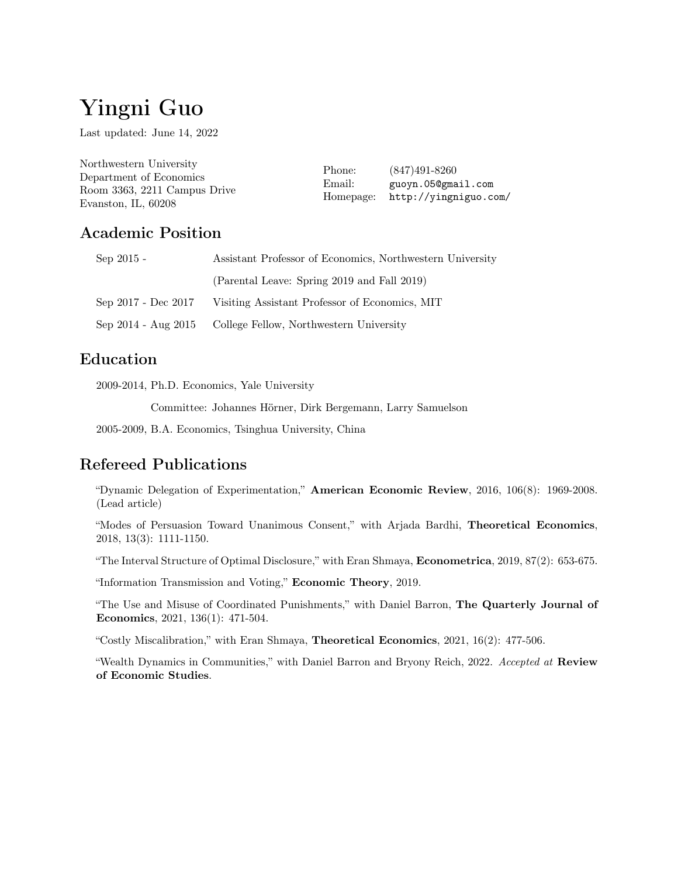# Yingni Guo

Last updated: June 14, 2022

| Northwestern University      | Phone:<br>Email:<br>Homepage: | $(847)491-8260$<br>guoyn.050gmail.com<br>http://yingniguo.com/ |
|------------------------------|-------------------------------|----------------------------------------------------------------|
| Department of Economics      |                               |                                                                |
| Room 3363, 2211 Campus Drive |                               |                                                                |
| Evanston, IL, 60208          |                               |                                                                |

## Academic Position

| $Sep 2015 -$ | Assistant Professor of Economics, Northwestern University            |
|--------------|----------------------------------------------------------------------|
|              | (Parental Leave: Spring 2019 and Fall 2019)                          |
|              | Sep 2017 - Dec 2017 - Visiting Assistant Professor of Economics, MIT |
|              | Sep 2014 - Aug 2015 College Fellow, Northwestern University          |

## Education

2009-2014, Ph.D. Economics, Yale University

2009-2014, Committee: Johannes Hörner, Dirk Bergemann, Larry Samuelson

2005-2009, B.A. Economics, Tsinghua University, China

## Refereed Publications

"Dynamic Delegation of Experimentation," American Economic Review, 2016, 106(8): 1969-2008. (Lead article)

"Modes of Persuasion Toward Unanimous Consent," with Arjada Bardhi, Theoretical Economics, 2018, 13(3): 1111-1150.

"The Interval Structure of Optimal Disclosure," with Eran Shmaya, Econometrica, 2019, 87(2): 653-675.

"Information Transmission and Voting," Economic Theory, 2019.

"The Use and Misuse of Coordinated Punishments," with Daniel Barron, The Quarterly Journal of Economics, 2021, 136(1): 471-504.

"Costly Miscalibration," with Eran Shmaya, Theoretical Economics, 2021, 16(2): 477-506.

"Wealth Dynamics in Communities," with Daniel Barron and Bryony Reich, 2022. *Accepted at* Review of Economic Studies.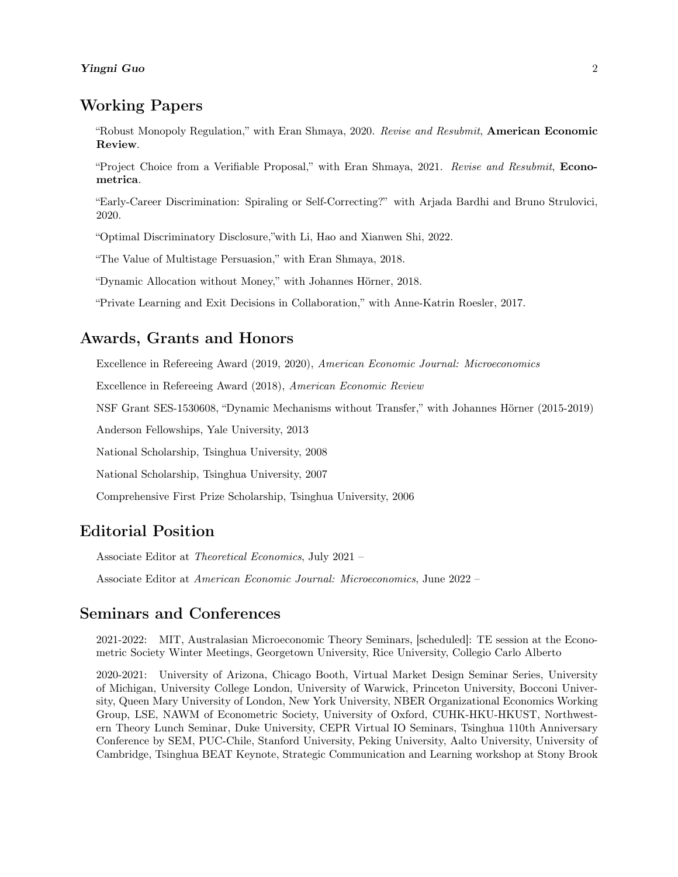## Working Papers

"Robust Monopoly Regulation," with Eran Shmaya, 2020. *Revise and Resubmit*, American Economic Review.

"Project Choice from a Verifiable Proposal," with Eran Shmaya, 2021. *Revise and Resubmit*, Econometrica.

"Early-Career Discrimination: Spiraling or Self-Correcting?" with Arjada Bardhi and Bruno Strulovici, 2020.

"Optimal Discriminatory Disclosure,"with Li, Hao and Xianwen Shi, 2022.

"The Value of Multistage Persuasion," with Eran Shmaya, 2018.

"Dynamic Allocation without Money," with Johannes Hörner, 2018.

"Private Learning and Exit Decisions in Collaboration," with Anne-Katrin Roesler, 2017.

#### Awards, Grants and Honors

Excellence in Refereeing Award (2019, 2020), *American Economic Journal: Microeconomics*

Excellence in Refereeing Award (2018), *American Economic Review*

NSF Grant SES-1530608, "Dynamic Mechanisms without Transfer," with Johannes Hörner (2015-2019)

Anderson Fellowships, Yale University, 2013

National Scholarship, Tsinghua University, 2008

National Scholarship, Tsinghua University, 2007

Comprehensive First Prize Scholarship, Tsinghua University, 2006

#### Editorial Position

Associate Editor at *Theoretical Economics*, July 2021 –

Associate Editor at *American Economic Journal: Microeconomics*, June 2022 –

#### Seminars and Conferences

2021-2022: MIT, Australasian Microeconomic Theory Seminars, [scheduled]: TE session at the Econometric Society Winter Meetings, Georgetown University, Rice University, Collegio Carlo Alberto

2020-2021: University of Arizona, Chicago Booth, Virtual Market Design Seminar Series, University of Michigan, University College London, University of Warwick, Princeton University, Bocconi University, Queen Mary University of London, New York University, NBER Organizational Economics Working Group, LSE, NAWM of Econometric Society, University of Oxford, CUHK-HKU-HKUST, Northwestern Theory Lunch Seminar, Duke University, CEPR Virtual IO Seminars, Tsinghua 110th Anniversary Conference by SEM, PUC-Chile, Stanford University, Peking University, Aalto University, University of Cambridge, Tsinghua BEAT Keynote, Strategic Communication and Learning workshop at Stony Brook